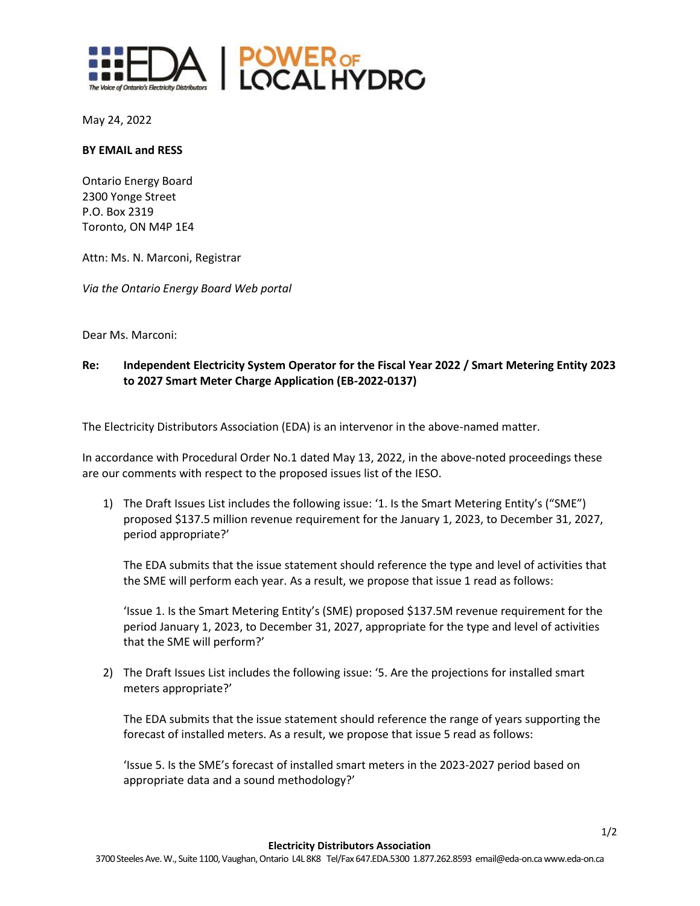

May 24, 2022

## **BY EMAIL and RESS**

Ontario Energy Board 2300 Yonge Street P.O. Box 2319 Toronto, ON M4P 1E4

Attn: Ms. N. Marconi, Registrar

*Via the Ontario Energy Board Web portal*

Dear Ms. Marconi:

## **Re: Independent Electricity System Operator for the Fiscal Year 2022 / Smart Metering Entity 2023 to 2027 Smart Meter Charge Application (EB-2022-0137)**

The Electricity Distributors Association (EDA) is an intervenor in the above-named matter.

In accordance with Procedural Order No.1 dated May 13, 2022, in the above-noted proceedings these are our comments with respect to the proposed issues list of the IESO.

1) The Draft Issues List includes the following issue: '1. Is the Smart Metering Entity's ("SME") proposed \$137.5 million revenue requirement for the January 1, 2023, to December 31, 2027, period appropriate?'

The EDA submits that the issue statement should reference the type and level of activities that the SME will perform each year. As a result, we propose that issue 1 read as follows:

'Issue 1. Is the Smart Metering Entity's (SME) proposed \$137.5M revenue requirement for the period January 1, 2023, to December 31, 2027, appropriate for the type and level of activities that the SME will perform?'

2) The Draft Issues List includes the following issue: '5. Are the projections for installed smart meters appropriate?'

The EDA submits that the issue statement should reference the range of years supporting the forecast of installed meters. As a result, we propose that issue 5 read as follows:

'Issue 5. Is the SME's forecast of installed smart meters in the 2023-2027 period based on appropriate data and a sound methodology?'